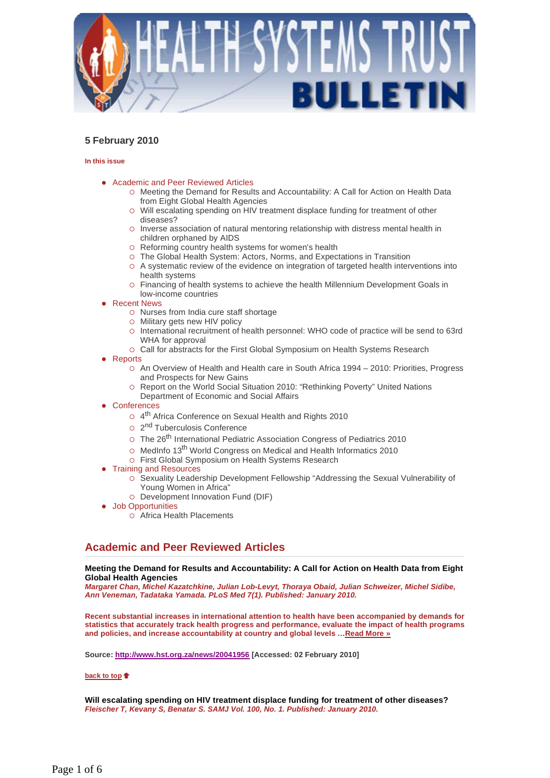

## **5 February 2010**

#### **In this issue**

- Academic and Peer Reviewed Articles
	- Meeting the Demand for Results and Accountability: A Call for Action on Health Data from Eight Global Health Agencies
	- Will escalating spending on HIV treatment displace funding for treatment of other diseases?
	- $\circ$  Inverse association of natural mentoring relationship with distress mental health in children orphaned by AIDS
	- Reforming country health systems for women's health
	- The Global Health System: Actors, Norms, and Expectations in Transition
	- A systematic review of the evidence on integration of targeted health interventions into health systems
	- Financing of health systems to achieve the health Millennium Development Goals in low-income countries
- Recent News
	- o Nurses from India cure staff shortage
	- Military gets new HIV policy
	- International recruitment of health personnel: WHO code of practice will be send to 63rd WHA for approval
	- Call for abstracts for the First Global Symposium on Health Systems Research
- Reports
	- An Overview of Health and Health care in South Africa 1994 2010: Priorities, Progress and Prospects for New Gains
	- Report on the World Social Situation 2010: "Rethinking Poverty" United Nations
	- Department of Economic and Social Affairs
- **Conferences** 
	- o 4<sup>th</sup> Africa Conference on Sexual Health and Rights 2010
	- o 2<sup>nd</sup> Tuberculosis Conference
	- o The 26<sup>th</sup> International Pediatric Association Congress of Pediatrics 2010
	- o MedInfo 13<sup>th</sup> World Congress on Medical and Health Informatics 2010
	- First Global Symposium on Health Systems Research
- Training and Resources
	- $\circ$  Sexuality Leadership Development Fellowship "Addressing the Sexual Vulnerability of Young Women in Africa"
	- o Development Innovation Fund (DIF)
- Job Opportunities
	- Africa Health Placements

## **Academic and Peer Reviewed Articles**

## **Meeting the Demand for Results and Accountability: A Call for Action on Health Data from Eight Global Health Agencies**

*Margaret Chan, Michel Kazatchkine, Julian Lob-Levyt, Thoraya Obaid, Julian Schweizer, Michel Sidibe, Ann Veneman, Tadataka Yamada. PLoS Med 7(1). Published: January 2010.*

**Recent substantial increases in international attention to health have been accompanied by demands for statistics that accurately track health progress and performance, evaluate the impact of health programs and policies, and increase accountability at country and global levels …Read More »**

**Source: http://www.hst.org.za/news/20041956 [Accessed: 02 February 2010]** 

## **back to top**

**Will escalating spending on HIV treatment displace funding for treatment of other diseases?**  *Fleischer T, Kevany S, Benatar S. SAMJ Vol. 100, No. 1. Published: January 2010.*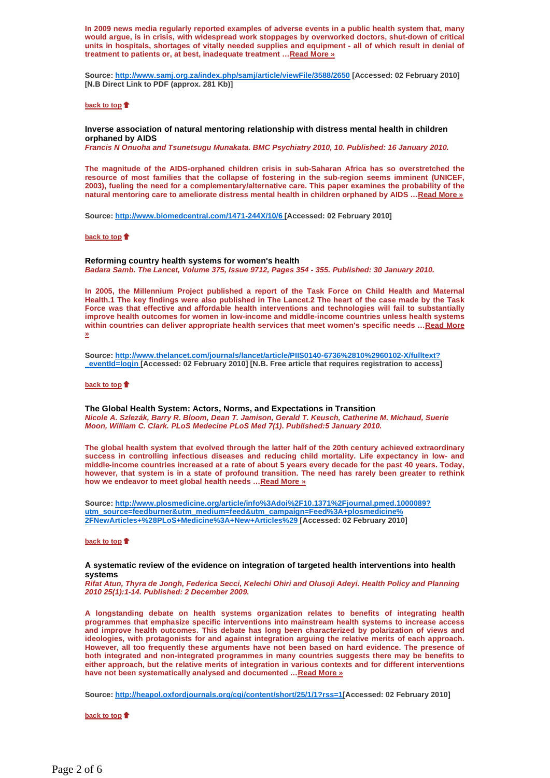**In 2009 news media regularly reported examples of adverse events in a public health system that, many would argue, is in crisis, with widespread work stoppages by overworked doctors, shut-down of critical units in hospitals, shortages of vitally needed supplies and equipment - all of which result in denial of treatment to patients or, at best, inadequate treatment …Read More »**

**Source: http://www.samj.org.za/index.php/samj/article/viewFile/3588/2650 [Accessed: 02 February 2010] [N.B Direct Link to PDF (approx. 281 Kb)]** 

#### **back to top**

## **Inverse association of natural mentoring relationship with distress mental health in children orphaned by AIDS**

*Francis N Onuoha and Tsunetsugu Munakata. BMC Psychiatry 2010, 10. Published: 16 January 2010.* 

**The magnitude of the AIDS-orphaned children crisis in sub-Saharan Africa has so overstretched the resource of most families that the collapse of fostering in the sub-region seems imminent (UNICEF, 2003), fueling the need for a complementary/alternative care. This paper examines the probability of the natural mentoring care to ameliorate distress mental health in children orphaned by AIDS …Read More »** 

**Source: http://www.biomedcentral.com/1471-244X/10/6 [Accessed: 02 February 2010]** 

#### **back to top**

#### **Reforming country health systems for women's health**  *Badara Samb. The Lancet, Volume 375, Issue 9712, Pages 354 - 355. Published: 30 January 2010.*

**In 2005, the Millennium Project published a report of the Task Force on Child Health and Maternal Health.1 The key findings were also published in The Lancet.2 The heart of the case made by the Task Force was that effective and affordable health interventions and technologies will fail to substantially improve health outcomes for women in low-income and middle-income countries unless health systems within countries can deliver appropriate health services that meet women's specific needs …Read More »** 

**Source: http://www.thelancet.com/journals/lancet/article/PIIS0140-6736%2810%2960102-X/fulltext? \_eventId=login [Accessed: 02 February 2010] [N.B. Free article that requires registration to access]** 

#### **back to top**

**The Global Health System: Actors, Norms, and Expectations in Transition**  *Nicole A. Szlezák, Barry R. Bloom, Dean T. Jamison, Gerald T. Keusch, Catherine M. Michaud, Suerie Moon, William C. Clark. PLoS Medecine PLoS Med 7(1). Published:5 January 2010.*

**The global health system that evolved through the latter half of the 20th century achieved extraordinary success in controlling infectious diseases and reducing child mortality. Life expectancy in low- and middle-income countries increased at a rate of about 5 years every decade for the past 40 years. Today, however, that system is in a state of profound transition. The need has rarely been greater to rethink how we endeavor to meet global health needs …Read More »** 

**Source: http://www.plosmedicine.org/article/info%3Adoi%2F10.1371%2Fjournal.pmed.1000089? utm\_source=feedburner&utm\_medium=feed&utm\_campaign=Feed%3A+plosmedicine% 2FNewArticles+%28PLoS+Medicine%3A+New+Articles%29 [Accessed: 02 February 2010]** 

#### **back to top**

#### **A systematic review of the evidence on integration of targeted health interventions into health systems**

*Rifat Atun, Thyra de Jongh, Federica Secci, Kelechi Ohiri and Olusoji Adeyi. Health Policy and Planning 2010 25(1):1-14. Published: 2 December 2009.*

**A longstanding debate on health systems organization relates to benefits of integrating health programmes that emphasize specific interventions into mainstream health systems to increase access and improve health outcomes. This debate has long been characterized by polarization of views and ideologies, with protagonists for and against integration arguing the relative merits of each approach. However, all too frequently these arguments have not been based on hard evidence. The presence of both integrated and non-integrated programmes in many countries suggests there may be benefits to either approach, but the relative merits of integration in various contexts and for different interventions have not been systematically analysed and documented …Read More »** 

**Source: http://heapol.oxfordjournals.org/cgi/content/short/25/1/1?rss=1[Accessed: 02 February 2010]** 

#### **back to top**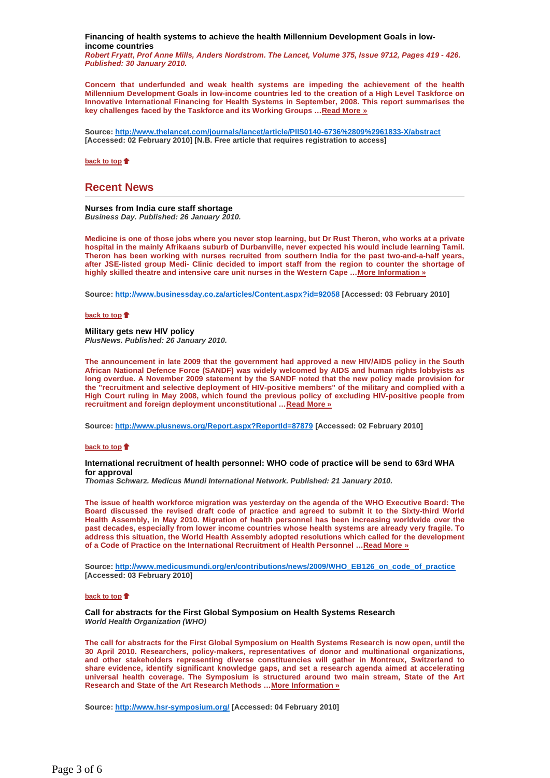**Financing of health systems to achieve the health Millennium Development Goals in lowincome countries** 

*Robert Fryatt, Prof Anne Mills, Anders Nordstrom. The Lancet, Volume 375, Issue 9712, Pages 419 - 426. Published: 30 January 2010.*

**Concern that underfunded and weak health systems are impeding the achievement of the health Millennium Development Goals in low-income countries led to the creation of a High Level Taskforce on Innovative International Financing for Health Systems in September, 2008. This report summarises the key challenges faced by the Taskforce and its Working Groups …Read More »** 

**Source: http://www.thelancet.com/journals/lancet/article/PIIS0140-6736%2809%2961833-X/abstract [Accessed: 02 February 2010] [N.B. Free article that requires registration to access]** 

**back to top** 

## **Recent News**

**Nurses from India cure staff shortage**  *Business Day. Published: 26 January 2010.*

**Medicine is one of those jobs where you never stop learning, but Dr Rust Theron, who works at a private hospital in the mainly Afrikaans suburb of Durbanville, never expected his would include learning Tamil. Theron has been working with nurses recruited from southern India for the past two-and-a-half years, after JSE-listed group Medi- Clinic decided to import staff from the region to counter the shortage of highly skilled theatre and intensive care unit nurses in the Western Cape …More Information »**

**Source: http://www.businessday.co.za/articles/Content.aspx?id=92058 [Accessed: 03 February 2010]** 

#### **back to top**

**Military gets new HIV policy**  *PlusNews. Published: 26 January 2010.*

**The announcement in late 2009 that the government had approved a new HIV/AIDS policy in the South African National Defence Force (SANDF) was widely welcomed by AIDS and human rights lobbyists as long overdue. A November 2009 statement by the SANDF noted that the new policy made provision for the "recruitment and selective deployment of HIV-positive members" of the military and complied with a High Court ruling in May 2008, which found the previous policy of excluding HIV-positive people from recruitment and foreign deployment unconstitutional …Read More »**

**Source: http://www.plusnews.org/Report.aspx?ReportId=87879 [Accessed: 02 February 2010]** 

#### **back to top**

#### **International recruitment of health personnel: WHO code of practice will be send to 63rd WHA for approval**

*Thomas Schwarz. Medicus Mundi International Network. Published: 21 January 2010.*

**The issue of health workforce migration was yesterday on the agenda of the WHO Executive Board: The Board discussed the revised draft code of practice and agreed to submit it to the Sixty-third World Health Assembly, in May 2010. Migration of health personnel has been increasing worldwide over the past decades, especially from lower income countries whose health systems are already very fragile. To address this situation, the World Health Assembly adopted resolutions which called for the development of a Code of Practice on the International Recruitment of Health Personnel …Read More »**

**Source: http://www.medicusmundi.org/en/contributions/news/2009/WHO\_EB126\_on\_code\_of\_practice [Accessed: 03 February 2010]** 

#### **back to top**

**Call for abstracts for the First Global Symposium on Health Systems Research**  *World Health Organization (WHO)*

**The call for abstracts for the First Global Symposium on Health Systems Research is now open, until the 30 April 2010. Researchers, policy-makers, representatives of donor and multinational organizations, and other stakeholders representing diverse constituencies will gather in Montreux, Switzerland to share evidence, identify significant knowledge gaps, and set a research agenda aimed at accelerating universal health coverage. The Symposium is structured around two main stream, State of the Art Research and State of the Art Research Methods …More Information »**

**Source: http://www.hsr-symposium.org/ [Accessed: 04 February 2010]**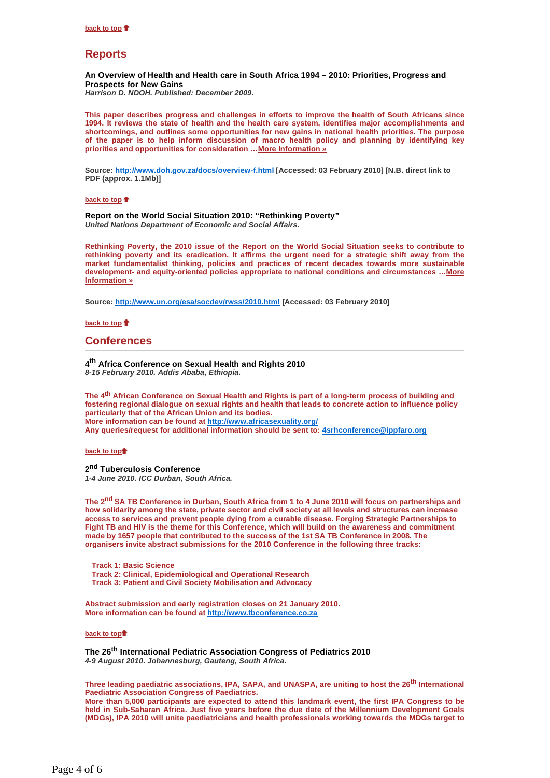## **Reports**

#### **An Overview of Health and Health care in South Africa 1994 – 2010: Priorities, Progress and Prospects for New Gains**

*Harrison D. NDOH. Published: December 2009.*

**This paper describes progress and challenges in efforts to improve the health of South Africans since 1994. It reviews the state of health and the health care system, identifies major accomplishments and shortcomings, and outlines some opportunities for new gains in national health priorities. The purpose of the paper is to help inform discussion of macro health policy and planning by identifying key priorities and opportunities for consideration …More Information »**

**Source: http://www.doh.gov.za/docs/overview-f.html [Accessed: 03 February 2010] [N.B. direct link to PDF (approx. 1.1Mb)]** 

**back to top** 

**Report on the World Social Situation 2010: "Rethinking Poverty"**  *United Nations Department of Economic and Social Affairs.*

**Rethinking Poverty, the 2010 issue of the Report on the World Social Situation seeks to contribute to rethinking poverty and its eradication. It affirms the urgent need for a strategic shift away from the market fundamentalist thinking, policies and practices of recent decades towards more sustainable development- and equity-oriented policies appropriate to national conditions and circumstances …More Information »**

**Source: http://www.un.org/esa/socdev/rwss/2010.html [Accessed: 03 February 2010]** 

**back to top** 

## **Conferences**

**4th Africa Conference on Sexual Health and Rights 2010**  *8-15 February 2010. Addis Ababa, Ethiopia.* 

**The 4th African Conference on Sexual Health and Rights is part of a long-term process of building and fostering regional dialogue on sexual rights and health that leads to concrete action to influence policy particularly that of the African Union and its bodies. More information can be found at http://www.africasexuality.org/ Any queries/request for additional information should be sent to: 4srhconference@ippfaro.org**

**back to top**<sup> $\uparrow$ </sup>

**2nd Tuberculosis Conference** *1-4 June 2010. ICC Durban, South Africa.*

**The 2nd SA TB Conference in Durban, South Africa from 1 to 4 June 2010 will focus on partnerships and how solidarity among the state, private sector and civil society at all levels and structures can increase access to services and prevent people dying from a curable disease. Forging Strategic Partnerships to Fight TB and HIV is the theme for this Conference, which will build on the awareness and commitment made by 1657 people that contributed to the success of the 1st SA TB Conference in 2008. The organisers invite abstract submissions for the 2010 Conference in the following three tracks:** 

**Track 1: Basic Science Track 2: Clinical, Epidemiological and Operational Research Track 3: Patient and Civil Society Mobilisation and Advocacy** 

**Abstract submission and early registration closes on 21 January 2010. More information can be found at http://www.tbconference.co.za**

### **back to top**<sup>\*</sup>

**The 26th International Pediatric Association Congress of Pediatrics 2010** *4-9 August 2010. Johannesburg, Gauteng, South Africa.*

**Three leading paediatric associations, IPA, SAPA, and UNASPA, are uniting to host the 26th International Paediatric Association Congress of Paediatrics.** 

**More than 5,000 participants are expected to attend this landmark event, the first IPA Congress to be held in Sub-Saharan Africa. Just five years before the due date of the Millennium Development Goals (MDGs), IPA 2010 will unite paediatricians and health professionals working towards the MDGs target to**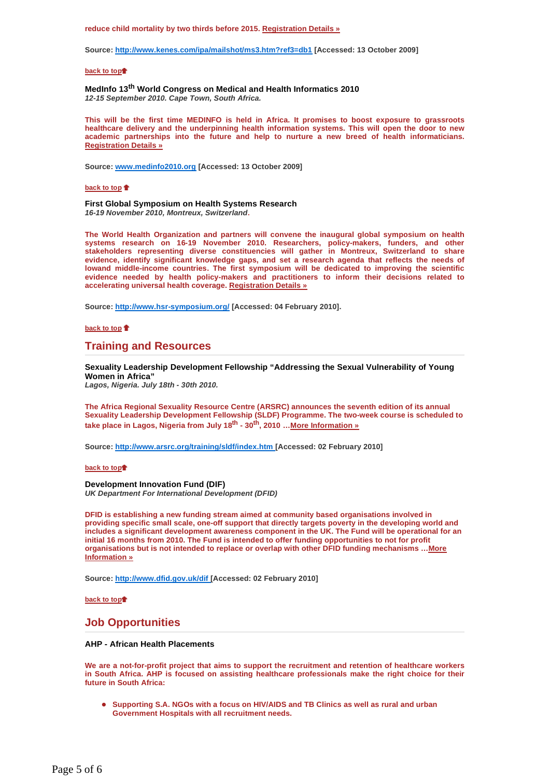#### **reduce child mortality by two thirds before 2015. Registration Details »**

**Source: http://www.kenes.com/ipa/mailshot/ms3.htm?ref3=db1 [Accessed: 13 October 2009]** 

#### **back to top**<sup>t</sup>

**MedInfo 13th World Congress on Medical and Health Informatics 2010** *12-15 September 2010. Cape Town, South Africa.*

**This will be the first time MEDINFO is held in Africa. It promises to boost exposure to grassroots healthcare delivery and the underpinning health information systems. This will open the door to new academic partnerships into the future and help to nurture a new breed of health informaticians. Registration Details »**

**Source: www.medinfo2010.org [Accessed: 13 October 2009]** 

#### **back to top**

**First Global Symposium on Health Systems Research**  *16-19 November 2010, Montreux, Switzerland***.** 

**The World Health Organization and partners will convene the inaugural global symposium on health systems research on 16-19 November 2010. Researchers, policy-makers, funders, and other stakeholders representing diverse constituencies will gather in Montreux, Switzerland to share evidence, identify significant knowledge gaps, and set a research agenda that reflects the needs of lowand middle-income countries. The first symposium will be dedicated to improving the scientific evidence needed by health policy-makers and practitioners to inform their decisions related to accelerating universal health coverage. Registration Details »**

**Source: http://www.hsr-symposium.org/ [Accessed: 04 February 2010].** 

**back to top** 

## **Training and Resources**

**Sexuality Leadership Development Fellowship "Addressing the Sexual Vulnerability of Young Women in Africa"** 

*Lagos, Nigeria. July 18th - 30th 2010.* 

**The Africa Regional Sexuality Resource Centre (ARSRC) announces the seventh edition of its annual Sexuality Leadership Development Fellowship (SLDF) Programme. The two-week course is scheduled to take place in Lagos, Nigeria from July 18th - 30th, 2010 …More Information »**

**Source: http://www.arsrc.org/training/sldf/index.htm [Accessed: 02 February 2010]** 

#### **back to top**<sup>†</sup>

**Development Innovation Fund (DIF)**  *UK Department For International Development (DFID)* 

**DFID is establishing a new funding stream aimed at community based organisations involved in providing specific small scale, one-off support that directly targets poverty in the developing world and includes a significant development awareness component in the UK. The Fund will be operational for an initial 16 months from 2010. The Fund is intended to offer funding opportunities to not for profit organisations but is not intended to replace or overlap with other DFID funding mechanisms …More Information »**

**Source: http://www.dfid.gov.uk/dif [Accessed: 02 February 2010]** 

**back to top**<sup>†</sup>

## **Job Opportunities**

## **AHP - African Health Placements**

**We are a not-for-profit project that aims to support the recruitment and retention of healthcare workers in South Africa. AHP is focused on assisting healthcare professionals make the right choice for their future in South Africa:** 

 **Supporting S.A. NGOs with a focus on HIV/AIDS and TB Clinics as well as rural and urban Government Hospitals with all recruitment needs.**